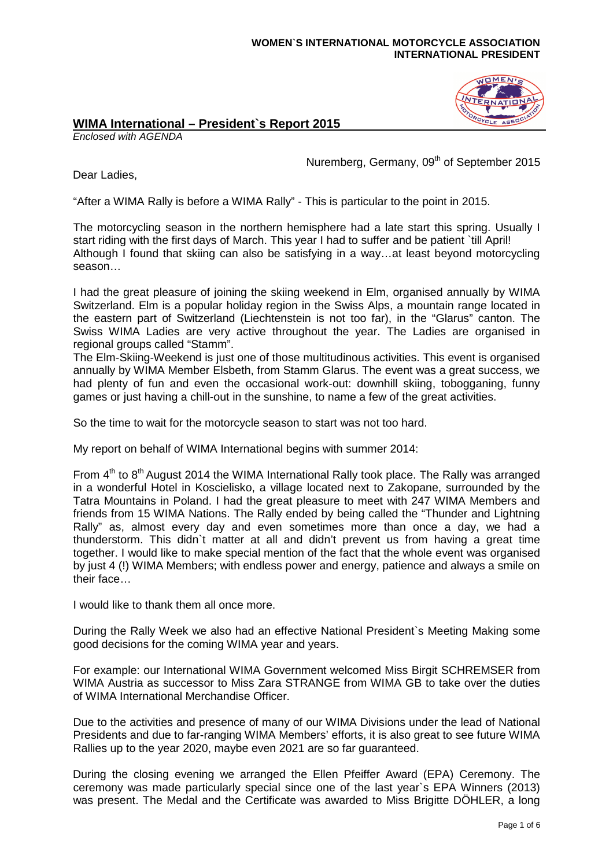## **WOMEN`S INTERNATIONAL MOTORCYCLE ASSOCIATION INTERNATIONAL PRESIDENT**

## **OMEN**

## **WIMA International – President`s Report 2015**

Enclosed with AGENDA

Nuremberg, Germany, 09<sup>th</sup> of September 2015

Dear Ladies,

"After a WIMA Rally is before a WIMA Rally" - This is particular to the point in 2015.

The motorcycling season in the northern hemisphere had a late start this spring. Usually I start riding with the first days of March. This year I had to suffer and be patient `till April! Although I found that skiing can also be satisfying in a way…at least beyond motorcycling season…

I had the great pleasure of joining the skiing weekend in Elm, organised annually by WIMA Switzerland. Elm is a popular holiday region in the Swiss Alps, a mountain range located in the eastern part of Switzerland (Liechtenstein is not too far), in the "Glarus" canton. The Swiss WIMA Ladies are very active throughout the year. The Ladies are organised in regional groups called "Stamm".

The Elm-Skiing-Weekend is just one of those multitudinous activities. This event is organised annually by WIMA Member Elsbeth, from Stamm Glarus. The event was a great success, we had plenty of fun and even the occasional work-out: downhill skiing, tobogganing, funny games or just having a chill-out in the sunshine, to name a few of the great activities.

So the time to wait for the motorcycle season to start was not too hard.

My report on behalf of WIMA International begins with summer 2014:

From  $4<sup>th</sup>$  to  $8<sup>th</sup>$  August 2014 the WIMA International Rally took place. The Rally was arranged in a wonderful Hotel in Koscielisko, a village located next to Zakopane, surrounded by the Tatra Mountains in Poland. I had the great pleasure to meet with 247 WIMA Members and friends from 15 WIMA Nations. The Rally ended by being called the "Thunder and Lightning Rally" as, almost every day and even sometimes more than once a day, we had a thunderstorm. This didn`t matter at all and didn't prevent us from having a great time together. I would like to make special mention of the fact that the whole event was organised by just 4 (!) WIMA Members; with endless power and energy, patience and always a smile on their face…

I would like to thank them all once more.

During the Rally Week we also had an effective National President`s Meeting Making some good decisions for the coming WIMA year and years.

For example: our International WIMA Government welcomed Miss Birgit SCHREMSER from WIMA Austria as successor to Miss Zara STRANGE from WIMA GB to take over the duties of WIMA International Merchandise Officer.

Due to the activities and presence of many of our WIMA Divisions under the lead of National Presidents and due to far-ranging WIMA Members' efforts, it is also great to see future WIMA Rallies up to the year 2020, maybe even 2021 are so far guaranteed.

During the closing evening we arranged the Ellen Pfeiffer Award (EPA) Ceremony. The ceremony was made particularly special since one of the last year`s EPA Winners (2013) was present. The Medal and the Certificate was awarded to Miss Brigitte DÖHLER, a long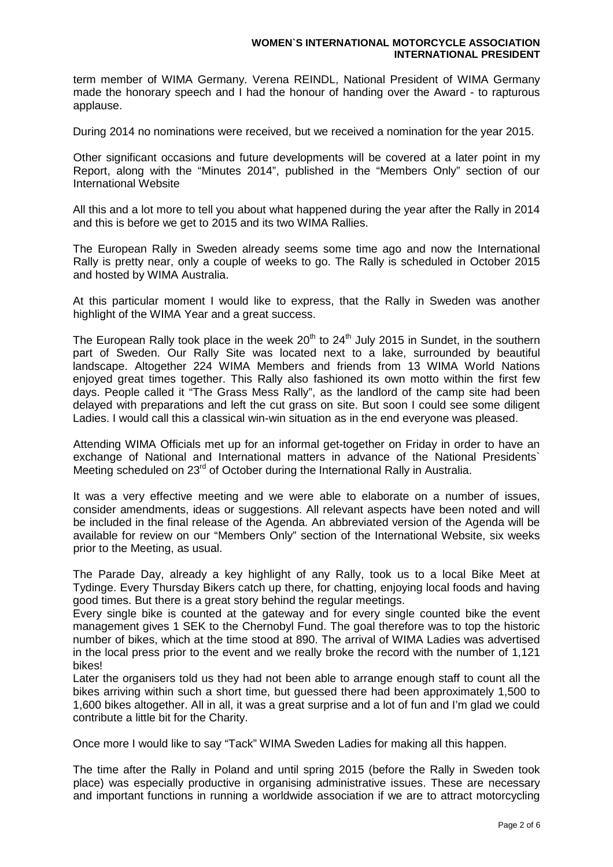term member of WIMA Germany. Verena REINDL, National President of WIMA Germany made the honorary speech and I had the honour of handing over the Award - to rapturous applause.

During 2014 no nominations were received, but we received a nomination for the year 2015.

Other significant occasions and future developments will be covered at a later point in my Report, along with the "Minutes 2014", published in the "Members Only" section of our International Website

All this and a lot more to tell you about what happened during the year after the Rally in 2014 and this is before we get to 2015 and its two WIMA Rallies.

The European Rally in Sweden already seems some time ago and now the International Rally is pretty near, only a couple of weeks to go. The Rally is scheduled in October 2015 and hosted by WIMA Australia.

At this particular moment I would like to express, that the Rally in Sweden was another highlight of the WIMA Year and a great success.

The European Rally took place in the week  $20<sup>th</sup>$  to  $24<sup>th</sup>$  July 2015 in Sundet, in the southern part of Sweden. Our Rally Site was located next to a lake, surrounded by beautiful landscape. Altogether 224 WIMA Members and friends from 13 WIMA World Nations enjoyed great times together. This Rally also fashioned its own motto within the first few days. People called it "The Grass Mess Rally", as the landlord of the camp site had been delayed with preparations and left the cut grass on site. But soon I could see some diligent Ladies. I would call this a classical win-win situation as in the end everyone was pleased.

Attending WIMA Officials met up for an informal get-together on Friday in order to have an exchange of National and International matters in advance of the National Presidents` Meeting scheduled on 23<sup>rd</sup> of October during the International Rally in Australia.

It was a very effective meeting and we were able to elaborate on a number of issues, consider amendments, ideas or suggestions. All relevant aspects have been noted and will be included in the final release of the Agenda. An abbreviated version of the Agenda will be available for review on our "Members Only" section of the International Website, six weeks prior to the Meeting, as usual.

The Parade Day, already a key highlight of any Rally, took us to a local Bike Meet at Tydinge. Every Thursday Bikers catch up there, for chatting, enjoying local foods and having good times. But there is a great story behind the regular meetings.

Every single bike is counted at the gateway and for every single counted bike the event management gives 1 SEK to the Chernobyl Fund. The goal therefore was to top the historic number of bikes, which at the time stood at 890. The arrival of WIMA Ladies was advertised in the local press prior to the event and we really broke the record with the number of 1,121 bikes!

Later the organisers told us they had not been able to arrange enough staff to count all the bikes arriving within such a short time, but guessed there had been approximately 1,500 to 1,600 bikes altogether. All in all, it was a great surprise and a lot of fun and I'm glad we could contribute a little bit for the Charity.

Once more I would like to say "Tack" WIMA Sweden Ladies for making all this happen.

The time after the Rally in Poland and until spring 2015 (before the Rally in Sweden took place) was especially productive in organising administrative issues. These are necessary and important functions in running a worldwide association if we are to attract motorcycling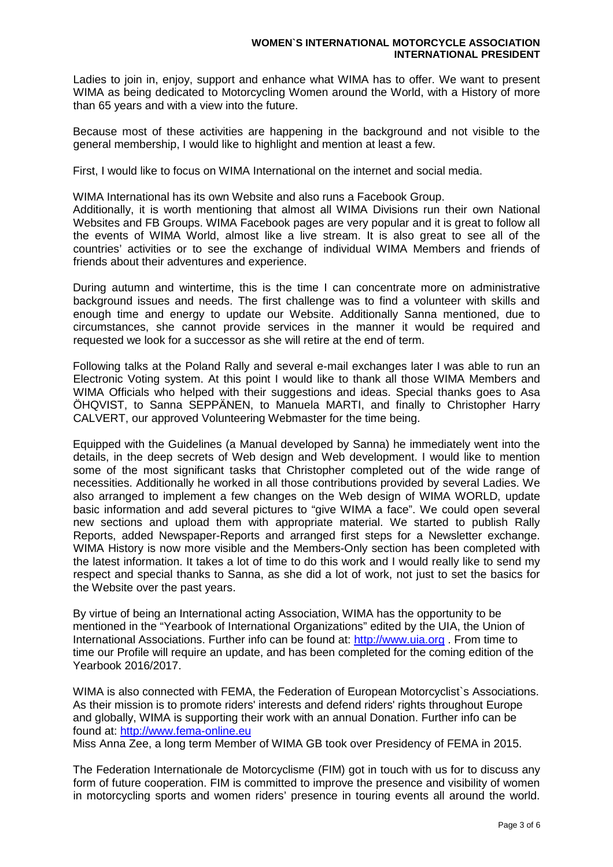Ladies to join in, enjoy, support and enhance what WIMA has to offer. We want to present WIMA as being dedicated to Motorcycling Women around the World, with a History of more than 65 years and with a view into the future.

Because most of these activities are happening in the background and not visible to the general membership, I would like to highlight and mention at least a few.

First, I would like to focus on WIMA International on the internet and social media.

WIMA International has its own Website and also runs a Facebook Group.

Additionally, it is worth mentioning that almost all WIMA Divisions run their own National Websites and FB Groups. WIMA Facebook pages are very popular and it is great to follow all the events of WIMA World, almost like a live stream. It is also great to see all of the countries' activities or to see the exchange of individual WIMA Members and friends of friends about their adventures and experience.

During autumn and wintertime, this is the time I can concentrate more on administrative background issues and needs. The first challenge was to find a volunteer with skills and enough time and energy to update our Website. Additionally Sanna mentioned, due to circumstances, she cannot provide services in the manner it would be required and requested we look for a successor as she will retire at the end of term.

Following talks at the Poland Rally and several e-mail exchanges later I was able to run an Electronic Voting system. At this point I would like to thank all those WIMA Members and WIMA Officials who helped with their suggestions and ideas. Special thanks goes to Asa ÖHQVIST, to Sanna SEPPÄNEN, to Manuela MARTI, and finally to Christopher Harry CALVERT, our approved Volunteering Webmaster for the time being.

Equipped with the Guidelines (a Manual developed by Sanna) he immediately went into the details, in the deep secrets of Web design and Web development. I would like to mention some of the most significant tasks that Christopher completed out of the wide range of necessities. Additionally he worked in all those contributions provided by several Ladies. We also arranged to implement a few changes on the Web design of WIMA WORLD, update basic information and add several pictures to "give WIMA a face". We could open several new sections and upload them with appropriate material. We started to publish Rally Reports, added Newspaper-Reports and arranged first steps for a Newsletter exchange. WIMA History is now more visible and the Members-Only section has been completed with the latest information. It takes a lot of time to do this work and I would really like to send my respect and special thanks to Sanna, as she did a lot of work, not just to set the basics for the Website over the past years.

By virtue of being an International acting Association, WIMA has the opportunity to be mentioned in the "Yearbook of International Organizations" edited by the UIA, the Union of International Associations. Further info can be found at: http://www.uia.org . From time to time our Profile will require an update, and has been completed for the coming edition of the Yearbook 2016/2017.

WIMA is also connected with FEMA, the Federation of European Motorcyclist`s Associations. As their mission is to promote riders' interests and defend riders' rights throughout Europe and globally, WIMA is supporting their work with an annual Donation. Further info can be found at: http://www.fema-online.eu

Miss Anna Zee, a long term Member of WIMA GB took over Presidency of FEMA in 2015.

The Federation Internationale de Motorcyclisme (FIM) got in touch with us for to discuss any form of future cooperation. FIM is committed to improve the presence and visibility of women in motorcycling sports and women riders' presence in touring events all around the world.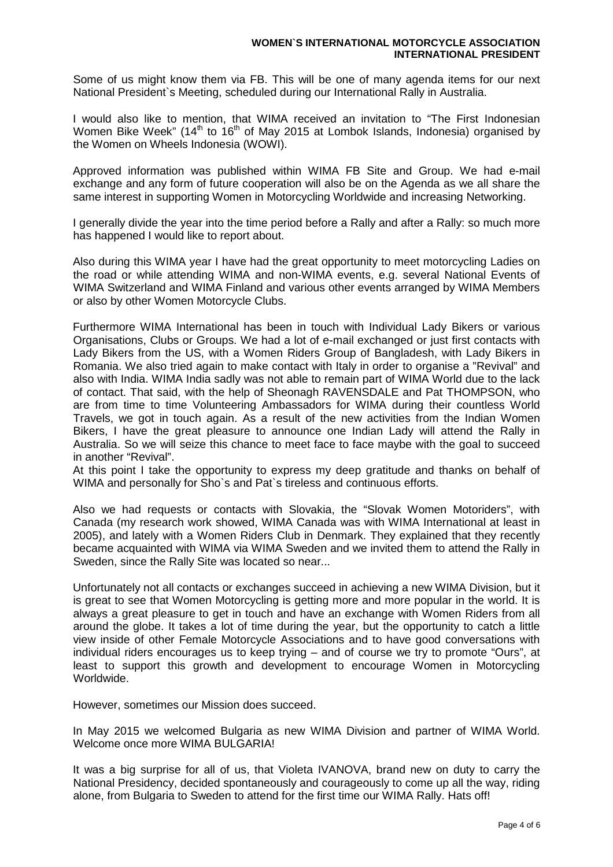Some of us might know them via FB. This will be one of many agenda items for our next National President`s Meeting, scheduled during our International Rally in Australia.

I would also like to mention, that WIMA received an invitation to "The First Indonesian Women Bike Week" ( $14<sup>th</sup>$  to  $16<sup>th</sup>$  of May 2015 at Lombok Islands, Indonesia) organised by the Women on Wheels Indonesia (WOWI).

Approved information was published within WIMA FB Site and Group. We had e-mail exchange and any form of future cooperation will also be on the Agenda as we all share the same interest in supporting Women in Motorcycling Worldwide and increasing Networking.

I generally divide the year into the time period before a Rally and after a Rally: so much more has happened I would like to report about.

Also during this WIMA year I have had the great opportunity to meet motorcycling Ladies on the road or while attending WIMA and non-WIMA events, e.g. several National Events of WIMA Switzerland and WIMA Finland and various other events arranged by WIMA Members or also by other Women Motorcycle Clubs.

Furthermore WIMA International has been in touch with Individual Lady Bikers or various Organisations, Clubs or Groups. We had a lot of e-mail exchanged or just first contacts with Lady Bikers from the US, with a Women Riders Group of Bangladesh, with Lady Bikers in Romania. We also tried again to make contact with Italy in order to organise a "Revival" and also with India. WIMA India sadly was not able to remain part of WIMA World due to the lack of contact. That said, with the help of Sheonagh RAVENSDALE and Pat THOMPSON, who are from time to time Volunteering Ambassadors for WIMA during their countless World Travels, we got in touch again. As a result of the new activities from the Indian Women Bikers, I have the great pleasure to announce one Indian Lady will attend the Rally in Australia. So we will seize this chance to meet face to face maybe with the goal to succeed in another "Revival".

At this point I take the opportunity to express my deep gratitude and thanks on behalf of WIMA and personally for Sho`s and Pat`s tireless and continuous efforts.

Also we had requests or contacts with Slovakia, the "Slovak Women Motoriders", with Canada (my research work showed, WIMA Canada was with WIMA International at least in 2005), and lately with a Women Riders Club in Denmark. They explained that they recently became acquainted with WIMA via WIMA Sweden and we invited them to attend the Rally in Sweden, since the Rally Site was located so near...

Unfortunately not all contacts or exchanges succeed in achieving a new WIMA Division, but it is great to see that Women Motorcycling is getting more and more popular in the world. It is always a great pleasure to get in touch and have an exchange with Women Riders from all around the globe. It takes a lot of time during the year, but the opportunity to catch a little view inside of other Female Motorcycle Associations and to have good conversations with individual riders encourages us to keep trying – and of course we try to promote "Ours", at least to support this growth and development to encourage Women in Motorcycling Worldwide.

However, sometimes our Mission does succeed.

In May 2015 we welcomed Bulgaria as new WIMA Division and partner of WIMA World. Welcome once more WIMA BULGARIA!

It was a big surprise for all of us, that Violeta IVANOVA, brand new on duty to carry the National Presidency, decided spontaneously and courageously to come up all the way, riding alone, from Bulgaria to Sweden to attend for the first time our WIMA Rally. Hats off!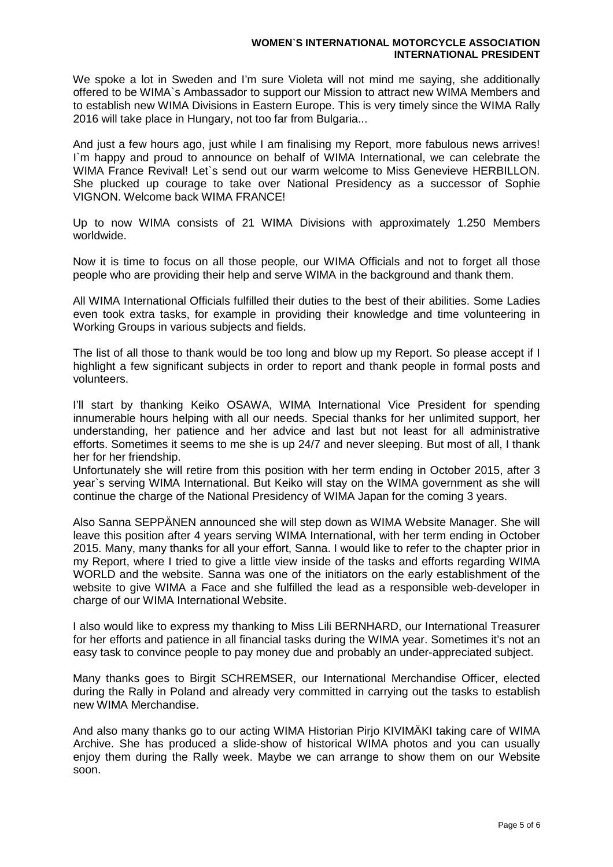## **WOMEN`S INTERNATIONAL MOTORCYCLE ASSOCIATION INTERNATIONAL PRESIDENT**

We spoke a lot in Sweden and I'm sure Violeta will not mind me saying, she additionally offered to be WIMA`s Ambassador to support our Mission to attract new WIMA Members and to establish new WIMA Divisions in Eastern Europe. This is very timely since the WIMA Rally 2016 will take place in Hungary, not too far from Bulgaria...

And just a few hours ago, just while I am finalising my Report, more fabulous news arrives! I`m happy and proud to announce on behalf of WIMA International, we can celebrate the WIMA France Revival! Let`s send out our warm welcome to Miss Genevieve HERBILLON. She plucked up courage to take over National Presidency as a successor of Sophie VIGNON. Welcome back WIMA FRANCE!

Up to now WIMA consists of 21 WIMA Divisions with approximately 1.250 Members worldwide.

Now it is time to focus on all those people, our WIMA Officials and not to forget all those people who are providing their help and serve WIMA in the background and thank them.

All WIMA International Officials fulfilled their duties to the best of their abilities. Some Ladies even took extra tasks, for example in providing their knowledge and time volunteering in Working Groups in various subjects and fields.

The list of all those to thank would be too long and blow up my Report. So please accept if I highlight a few significant subjects in order to report and thank people in formal posts and volunteers.

I'll start by thanking Keiko OSAWA, WIMA International Vice President for spending innumerable hours helping with all our needs. Special thanks for her unlimited support, her understanding, her patience and her advice and last but not least for all administrative efforts. Sometimes it seems to me she is up 24/7 and never sleeping. But most of all, I thank her for her friendship.

Unfortunately she will retire from this position with her term ending in October 2015, after 3 year`s serving WIMA International. But Keiko will stay on the WIMA government as she will continue the charge of the National Presidency of WIMA Japan for the coming 3 years.

Also Sanna SEPPÄNEN announced she will step down as WIMA Website Manager. She will leave this position after 4 years serving WIMA International, with her term ending in October 2015. Many, many thanks for all your effort, Sanna. I would like to refer to the chapter prior in my Report, where I tried to give a little view inside of the tasks and efforts regarding WIMA WORLD and the website. Sanna was one of the initiators on the early establishment of the website to give WIMA a Face and she fulfilled the lead as a responsible web-developer in charge of our WIMA International Website.

I also would like to express my thanking to Miss Lili BERNHARD, our International Treasurer for her efforts and patience in all financial tasks during the WIMA year. Sometimes it's not an easy task to convince people to pay money due and probably an under-appreciated subject.

Many thanks goes to Birgit SCHREMSER, our International Merchandise Officer, elected during the Rally in Poland and already very committed in carrying out the tasks to establish new WIMA Merchandise.

And also many thanks go to our acting WIMA Historian Pirjo KIVIMÄKI taking care of WIMA Archive. She has produced a slide-show of historical WIMA photos and you can usually enjoy them during the Rally week. Maybe we can arrange to show them on our Website soon.